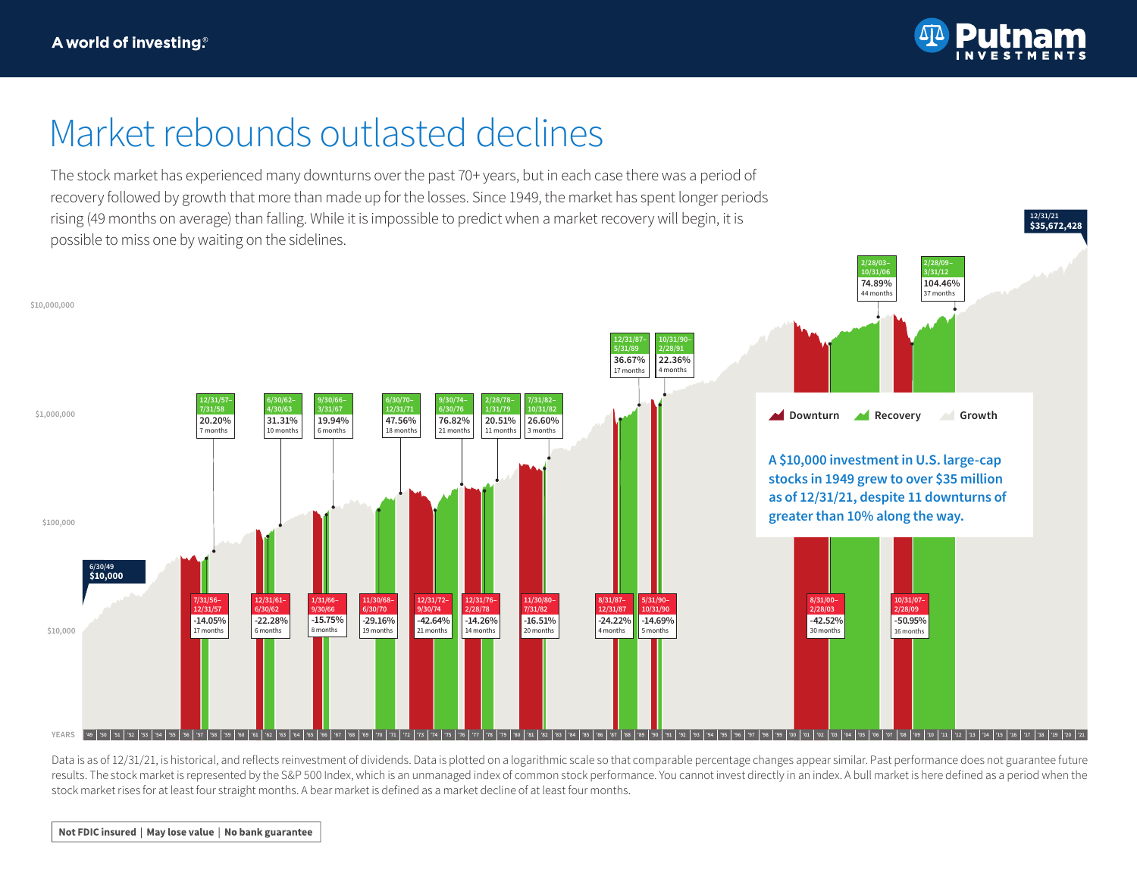

**\$35,672,428 12/31/21**

## Market rebounds outlasted declines

The stock market has experienced many downturns over the past 70+ years, but in each case there was a period of recovery followed by growth that more than made up for the losses. Since 1949, the market has spent longer periods rising (49 months on average) than falling. While it is impossible to predict when a market recovery will begin, it is possible to miss one by waiting on the sidelines.



Data is as of 12/31/21, is historical, and reflects reinvestment of dividends. Data is plotted on a logarithmic scale so that comparable percentage changes appear similar. Past performance does not guarantee future results. The stock market is represented by the S&P 500 Index, which is an unmanaged index of common stock performance. You cannot invest directly in an index. A bull market is here defined as a period when the stock market rises for at least four straight months. A bear market is defined as a market decline of at least four months.

Not FDIC insured | May lose value | No bank guarantee